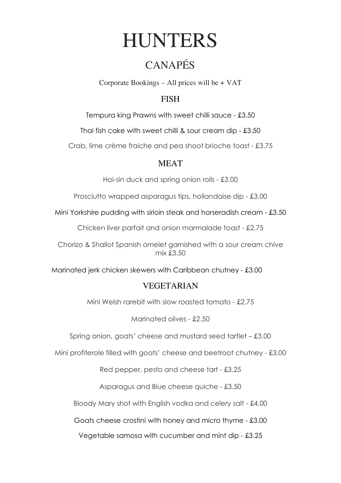# **HUNTERS**

## CANAPÉS

Corporate Bookings – All prices will be + VAT

#### **FISH**

Tempura king Prawns with sweet chilli sauce - £3.50

Thai fish cake with sweet chilli & sour cream dip - £3.50

Crab, lime crème fraiche and pea shoot brioche toast - £3.75

#### MEAT

Hoi-sin duck and spring onion rolls - £3.00

Prosciutto wrapped asparagus tips, hollandaise dip - £3.00

Mini Yorkshire pudding with sirloin steak and horseradish cream - £3.50

Chicken liver parfait and onion marmalade toast - £2.75

Chorizo & Shallot Spanish omelet garnished with a sour cream chive mix £3.50

Marinated jerk chicken skewers with Caribbean chutney - £3.00

### VEGETARIAN

Mini Welsh rarebit with slow roasted tomato - £2.75

Marinated olives - £2.50

Spring onion, goats' cheese and mustard seed tartlet – £3.00

Mini profiterole filled with goats' cheese and beetroot chutney - £3.00

Red pepper, pesto and cheese tart - £3.25

Asparagus and Blue cheese quiche - £3.50

Bloody Mary shot with English vodka and celery salt - £4.00

Goats cheese crostini with honey and micro thyme - £3.00

Vegetable samosa with cucumber and mint dip - £3.25